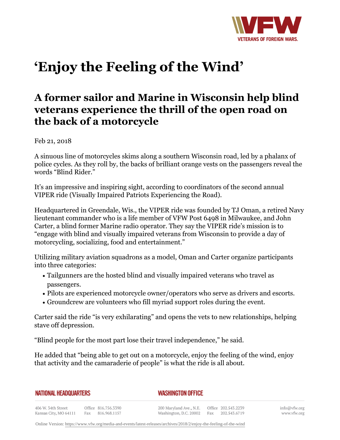

## **'Enjoy the Feeling of the Wind'**

## **A former sailor and Marine in Wisconsin help blind veterans experience the thrill of the open road on the back of a motorcycle**

Feb 21, 2018

A sinuous line of motorcycles skims along a southern Wisconsin road, led by a phalanx of police cycles. As they roll by, the backs of brilliant orange vests on the passengers reveal the words "Blind Rider."

It's an impressive and inspiring sight, according to coordinators of the second annual VIPER ride (Visually Impaired Patriots Experiencing the Road).

Headquartered in Greendale, Wis., the VIPER ride was founded by TJ Oman, a retired Navy lieutenant commander who is a life member of VFW Post 6498 in Milwaukee, and John Carter, a blind former Marine radio operator. They say the VIPER ride's mission is to "engage with blind and visually impaired veterans from Wisconsin to provide a day of motorcycling, socializing, food and entertainment."

Utilizing military aviation squadrons as a model, Oman and Carter organize participants into three categories:

- $\bullet$  Tailgunners are the hosted blind and visually impaired veterans who travel as passengers.
- Pilots are experienced motorcycle owner/operators who serve as drivers and escorts.
- Groundcrew are volunteers who fill myriad support roles during the event.

Carter said the ride "is very exhilarating" and opens the vets to new relationships, helping stave off depression.

"Blind people for the most part lose their travel independence," he said.

He added that "being able to get out on a motorcycle, enjoy the feeling of the wind, enjoy that activity and the camaraderie of people" is what the ride is all about.

| <b>NATIONAL HEADQUARTERS</b> |  |
|------------------------------|--|
|------------------------------|--|

*WASHINGTON OFFICE* 

406 W. 34th Street Office 816.756.3390 Fax 816.968.1157 Kansas City, MO 64111

200 Maryland Ave., N.E. Washington, D.C. 20002

Office 202.543.2239 Fax 202.543.6719 info@vfw.org www.vfw.org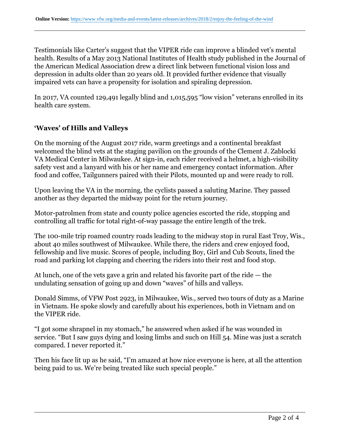Testimonials like Carter's suggest that the VIPER ride can improve a blinded vet's mental health. Results of a May 2013 National Institutes of Health study published in the Journal of the American Medical Association drew a direct link between functional vision loss and depression in adults older than 20 years old. It provided further evidence that visually impaired vets can have a propensity for isolation and spiraling depression.

In 2017, VA counted 129,491 legally blind and 1,015,595 "low vision" veterans enrolled in its health care system.

## **'Waves' of Hills and Valleys**

On the morning of the August 2017 ride, warm greetings and a continental breakfast welcomed the blind vets at the staging pavilion on the grounds of the Clement J. Zablocki VA Medical Center in Milwaukee. At sign-in, each rider received a helmet, a high-visibility safety vest and a lanyard with his or her name and emergency contact information. After food and coffee, Tailgunners paired with their Pilots, mounted up and were ready to roll.

Upon leaving the VA in the morning, the cyclists passed a saluting Marine. They passed another as they departed the midway point for the return journey.

Motor-patrolmen from state and county police agencies escorted the ride, stopping and controlling all traffic for total right-of-way passage the entire length of the trek.

The 100-mile trip roamed country roads leading to the midway stop in rural East Troy, Wis., about 40 miles southwest of Milwaukee. While there, the riders and crew enjoyed food, fellowship and live music. Scores of people, including Boy, Girl and Cub Scouts, lined the road and parking lot clapping and cheering the riders into their rest and food stop.

At lunch, one of the vets gave a grin and related his favorite part of the ride — the undulating sensation of going up and down "waves" of hills and valleys.

Donald Simms, of VFW Post 2923, in Milwaukee, Wis., served two tours of duty as a Marine in Vietnam. He spoke slowly and carefully about his experiences, both in Vietnam and on the VIPER ride.

"I got some shrapnel in my stomach," he answered when asked if he was wounded in service. "But I saw guys dying and losing limbs and such on Hill 54. Mine was just a scratch compared. I never reported it."

Then his face lit up as he said, "I'm amazed at how nice everyone is here, at all the attention being paid to us. We're being treated like such special people."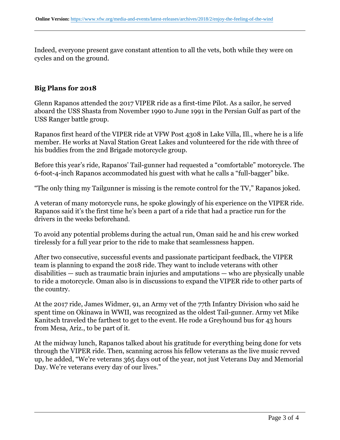Indeed, everyone present gave constant attention to all the vets, both while they were on cycles and on the ground.

## **Big Plans for 2018**

Glenn Rapanos attended the 2017 VIPER ride as a first-time Pilot. As a sailor, he served aboard the USS Shasta from November 1990 to June 1991 in the Persian Gulf as part of the USS Ranger battle group.

Rapanos first heard of the VIPER ride at VFW Post 4308 in Lake Villa, Ill., where he is a life member. He works at Naval Station Great Lakes and volunteered for the ride with three of his buddies from the 2nd Brigade motorcycle group.

Before this year's ride, Rapanos' Tail-gunner had requested a "comfortable" motorcycle. The 6-foot-4-inch Rapanos accommodated his guest with what he calls a "full-bagger" bike.

"The only thing my Tailgunner is missing is the remote control for the TV," Rapanos joked.

A veteran of many motorcycle runs, he spoke glowingly of his experience on the VIPER ride. Rapanos said it's the first time he's been a part of a ride that had a practice run for the drivers in the weeks beforehand.

To avoid any potential problems during the actual run, Oman said he and his crew worked tirelessly for a full year prior to the ride to make that seamlessness happen.

After two consecutive, successful events and passionate participant feedback, the VIPER team is planning to expand the 2018 ride. They want to include veterans with other disabilities — such as traumatic brain injuries and amputations — who are physically unable to ride a motorcycle. Oman also is in discussions to expand the VIPER ride to other parts of the country.

At the 2017 ride, James Widmer, 91, an Army vet of the 77th Infantry Division who said he spent time on Okinawa in WWII, was recognized as the oldest Tail-gunner. Army vet Mike Kanitsch traveled the farthest to get to the event. He rode a Greyhound bus for 43 hours from Mesa, Ariz., to be part of it.

At the midway lunch, Rapanos talked about his gratitude for everything being done for vets through the VIPER ride. Then, scanning across his fellow veterans as the live music revved up, he added, "We're veterans 365 days out of the year, not just Veterans Day and Memorial Day. We're veterans every day of our lives."